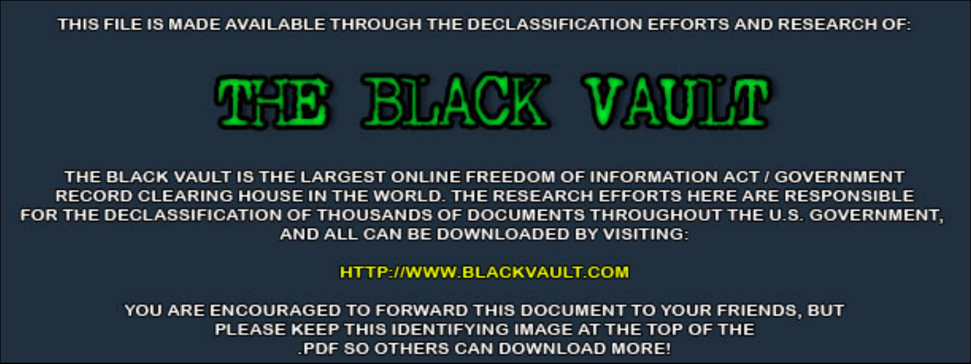THIS FILE IS MADE AVAILABLE THROUGH THE DECLASSIFICATION EFFORTS AND RESEARCH OF:



THE BLACK VAULT IS THE LARGEST ONLINE FREEDOM OF INFORMATION ACT / GOVERNMENT RECORD CLEARING HOUSE IN THE WORLD. THE RESEARCH EFFORTS HERE ARE RESPONSIBLE FOR THE DECLASSIFICATION OF THOUSANDS OF DOCUMENTS THROUGHOUT THE U.S. GOVERNMENT, AND ALL CAN BE DOWNLOADED BY VISITING:

**HTTP://WWW.BLACKVAULT.COM** 

YOU ARE ENCOURAGED TO FORWARD THIS DOCUMENT TO YOUR FRIENDS, BUT PLEASE KEEP THIS IDENTIFYING IMAGE AT THE TOP OF THE PDF SO OTHERS CAN DOWNLOAD MORE!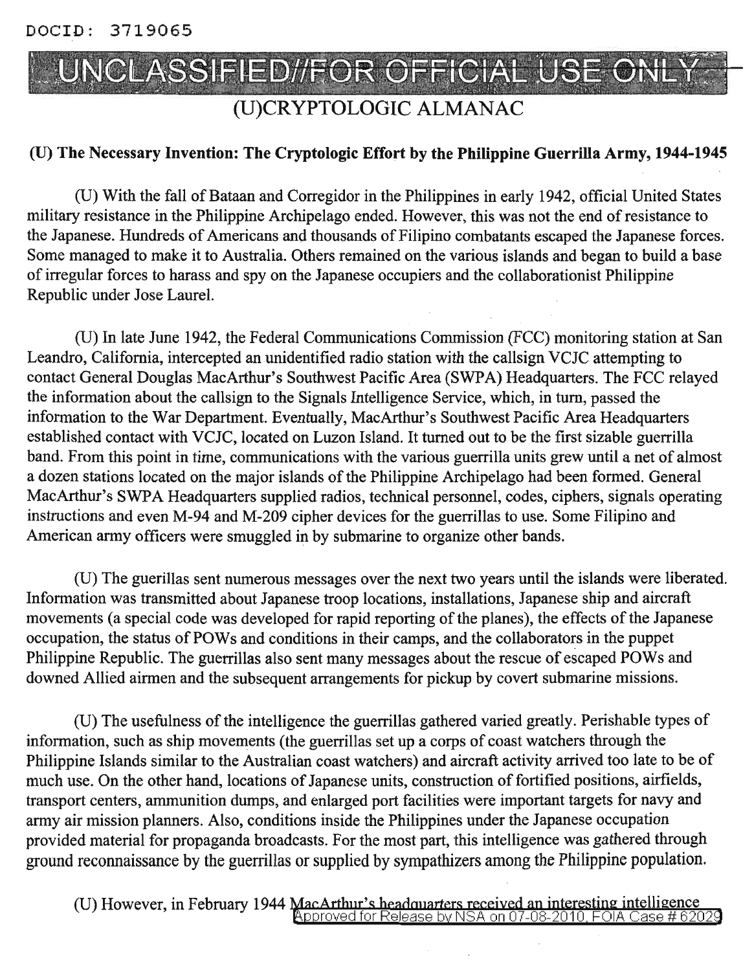DOClD: 3719065



## (U)CRYPTOLOGIC ALMANAC

### (U) The Necessary Invention: The Cryptologic Effort by the Philippine Guerrilla Army, 1944-1945

(U) With the fall ofBataan and Corregidor in the Philippines in early 1942, official United States military resistance in the Philippine Archipelago ended. However, this was not the end ofresistance to the Japanese. Hundreds of Americans and thousands of Filipino combatants escaped the Japanese forces. Some managed to make it to Australia. Others remained on the various islands and began to build a base ofirregular forces to harass and spy on the Japanese occupiers and the collaborationist Philippine Republic under Jose Laurel.

(U) In late June 1942, the Federal Communications Commission (FCC) monitoring station at San Leandro, California, intercepted an unidentified radio station with the callsign VCJC attempting to contact General Douglas MacArthur's Southwest Pacific Area (SWPA) Headquarters. The FCC relayed the information about the callsign to the Signals Intelligence Service, which, in turn, passed the information to the War Department. Eventually, MacArthur's Southwest Pacific Area Headquarters established contact with VCJC, located on Luzon Island. It turned out to be the first sizable guerrilla band. From this point in time, communications with the various guerrilla units grew until a net of almost a dozen stations located on the major islands of the Philippine Archipelago had been formed. General MacArthur's SWPA Headquarters supplied radios, technical personnel, codes, ciphers, signals operating instructions and even M-94 and M-209 cipher devices for the guerrillas to use. Some Filipino and American army officers were smuggled in by submarine to organize other bands.

(U) The guerillas sent numerous messages over the next two years until the islands were liberated. Information was transmitted about Japanese troop locations, installations, Japanese ship and aircraft movements (a special code was developed for rapid reporting of the planes), the effects of the Japanese occupation, the status of POWs and conditions in their camps, and the collaborators in the puppet Philippine Republic. The guerrillas also sent many messages about the rescue of escaped POWs and downed Allied airmen and the subsequent arrangements for pickup by covert submarine missions.

(U) The usefulness of the intelligence the guerrillas gathered varied greatly. Perishable types of information, such as ship movements (the guerrillas set up a corps of coast watchers through the Philippine Islands similar to the Australian coast watchers) and aircraft activity arrived too late to be of much use. On the other hand, locations of Japanese units, construction of fortified positions, airfields, transport centers, ammunition dumps, and enlarged port facilities were important targets for navy and army air mission planners. Also, conditions inside the Philippines under the Japanese occupation provided material for propaganda broadcasts. For the most part, this intelligence was gathered through ground reconnaissance by the guerrillas or supplied by sympathizers among the Philippine population.

(U) However, in February 1944 MacArthur's headquarters received an interesting intelligence<br>Approved for Release by NSA on 07-08-2010, FOIA Case # 62029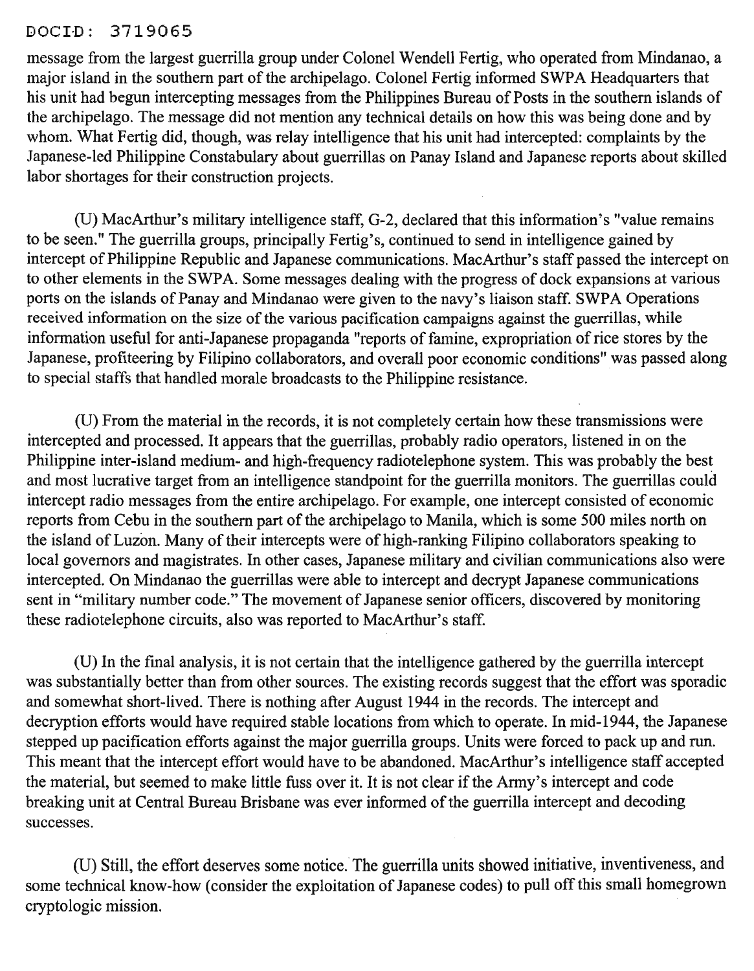#### DOCI-D: 3719065

message from the largest guerrilla group under Colonel Wendell Fertig, who operated from Mindanao, a major island in the southern part of the archipelago. Colonel Fertig informed SWPA Headquarters that his unit had begun intercepting messages from the Philippines Bureau of Posts in the southern islands of the archipelago. The message did not mention any technical details on how this was being done and by whom. What Fertig did, though, was relay intelligence that his unit had intercepted: complaints by the Japanese-led Philippine Constabulary about guerrillas on Panay Island and Japanese reports about skilled labor shortages for their construction projects.

(U) MacArthur's military intelligence staff, 0-2, declared that this information's "value remains to be seen." The guerrilla groups, principally Fertig's, continued to send in intelligence gained by intercept of Philippine Republic and Japanese communications. MacArthur's staff passed the intercept on to other elements in the SWPA. Some messages dealing with the progress of dock expansions at various ports on the islands of Panay and Mindanao were given to the navy's liaison staff. SWPA Operations received information on the size of the various pacification campaigns against the guerrillas, while information useful for anti-Japanese propaganda "reports of famine, expropriation of rice stores by the Japanese, profiteering by Filipino collaborators, and overall poor economic conditions" was passed along to special staffs that handled morale broadcasts to the Philippine resistance.

(U) From the material in the records, it is not completely certain how these transmissions were intercepted and processed. It appears that the guerrillas, probably radio operators, listened in on the Philippine inter-island medium- and high-frequency radiotelephone system. This was probably the best and most lucrative target from an intelligence standpoint for the guerrilla monitors. The guerrillas could intercept radio messages from the entire archipelago. For example, one intercept consisted of economic reports from Cebu in the southern part of the archipelago to Manila, which is some 500 miles north on the island of Luzon. Many of their intercepts were of high-ranking Filipino collaborators speaking to local governors and magistrates. In other cases, Japanese military and civilian communications also were intercepted. On Mindanao the guerrillas were able to intercept and decrypt Japanese communications sent in "military number code." The movement of Japanese senior officers, discovered by monitoring these radiotelephone circuits, also was reported to MacArthur's staff.

(U) In the fmal analysis, it is not certain that the intelligence gathered by the guerrilla intercept was substantially better than from other sources. The existing records suggest that the effort was sporadic and somewhat short-lived. There is nothing after August 1944 in the records. The intercept and decryption efforts would have required stable locations from which to operate. In mid-1944, the Japanese stepped up pacification efforts against the major guerrilla groups. Units were forced to pack up and run. This meant that the intercept effort would have to be abandoned. MacArthur's intelligence staff accepted the material, but seemed to make little fuss over it. It is not clear if the Army's intercept and code breaking unit at Central Bureau Brisbane was ever informed of the guerrilla intercept and decoding successes.

(U) Still, the effort deserves some notice. The guerrilla units showed initiative, inventiveness, and some technical know-how (consider the exploitation of Japanese codes) to pull off this small homegrown cryptologic mission.